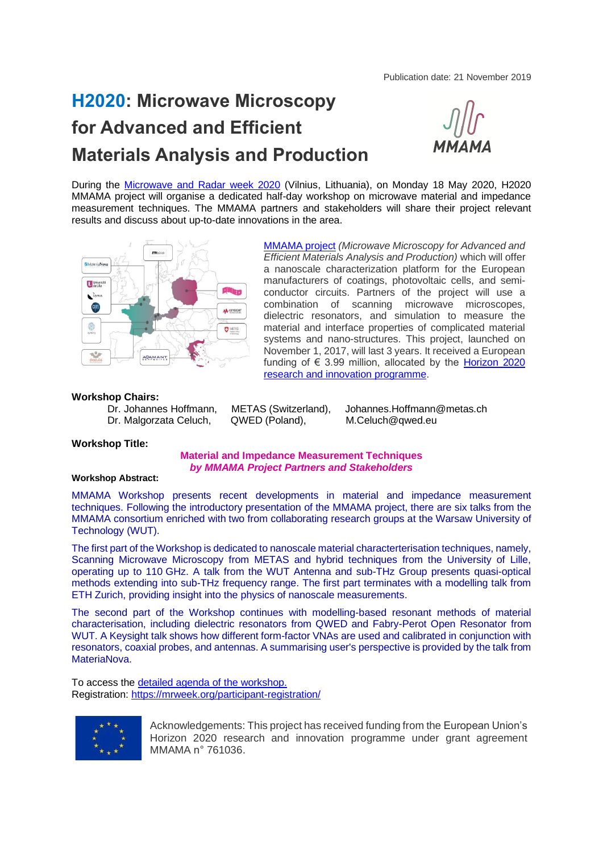Publication date: 21 November 2019

# **H2020: Microwave Microscopy for Advanced and Efficient Materials Analysis and Production**



During the [Microwave and Radar week 2020](https://mrweek.org/mikon/) (Vilnius, Lithuania), on Monday 18 May 2020, H2020 MMAMA project will organise a dedicated half-day workshop on microwave material and impedance measurement techniques. The MMAMA partners and stakeholders will share their project relevant results and discuss about up-to-date innovations in the area.



[MMAMA project](https://www.mmama.eu/) *(Microwave Microscopy for Advanced and Efficient Materials Analysis and Production)* which will offer a nanoscale characterization platform for the European manufacturers of coatings, photovoltaic cells, and semiconductor circuits. Partners of the project will use a combination of scanning microwave microscopes, dielectric resonators, and simulation to measure the material and interface properties of complicated material systems and nano-structures. This project, launched on November 1, 2017, will last 3 years. It received a European funding of  $\epsilon$  3.99 million, allocated by the Horizon 2020 [research and innovation programme.](https://www.ayming.fr/metiers/finance-innovation-performance/aides-subventions/aides-et-subventions-rd-et-innovation/programme-europeen-horizon-2020-h2020/)

**Workshop Chairs:**  Dr. Malgorzata Celuch, QWED (Poland), M.Celuch@qwed.eu

METAS (Switzerland), Johannes.Hoffmann@metas.ch

#### **Workshop Title:**

# **Material and Impedance Measurement Techniques** *by MMAMA Project Partners and Stakeholders*

# **Workshop Abstract:**

MMAMA Workshop presents recent developments in material and impedance measurement techniques. Following the introductory presentation of the MMAMA project, there are six talks from the MMAMA consortium enriched with two from collaborating research groups at the Warsaw University of Technology (WUT).

The first part of the Workshop is dedicated to nanoscale material characterterisation techniques, namely, Scanning Microwave Microscopy from METAS and hybrid techniques from the University of Lille, operating up to 110 GHz. A talk from the WUT Antenna and sub-THz Group presents quasi-optical methods extending into sub-THz frequency range. The first part terminates with a modelling talk from ETH Zurich, providing insight into the physics of nanoscale measurements.

The second part of the Workshop continues with modelling-based resonant methods of material characterisation, including dielectric resonators from QWED and Fabry-Perot Open Resonator from WUT. A Keysight talk shows how different form-factor VNAs are used and calibrated in conjunction with resonators, coaxial probes, and antennas. A summarising user's perspective is provided by the talk from MateriaNova.

To access the [detailed agenda of the workshop.](https://mrweek.org/mikon/#workshops) Registration: <https://mrweek.org/participant-registration/>



Acknowledgements: This project has received funding from the European Union's Horizon 2020 research and innovation programme under grant agreement MMAMA n° 761036.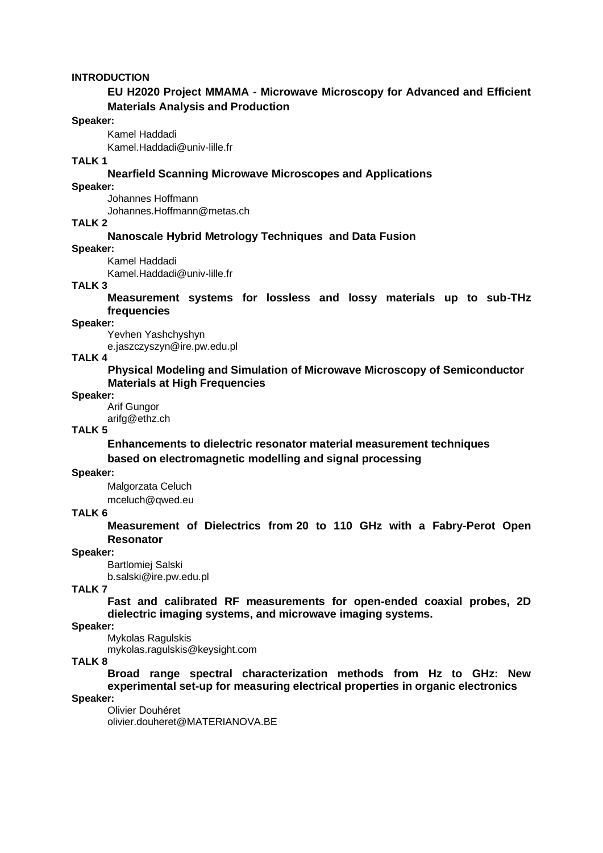# **INTRODUCTION**

# **EU H2020 Project MMAMA - Microwave Microscopy for Advanced and Efficient Materials Analysis and Production**

#### **Speaker:**

Kamel Haddadi

[Kamel.Haddadi@univ-lille.fr](mailto:Kamel.Haddadi@univ-lille.fr)

# **TALK 1**

# **Nearfield Scanning Microwave Microscopes and Applications**

# **Speaker:**

Johannes Hoffmann

Johannes.Hoffmann@metas.ch

# **TALK 2**

#### **Nanoscale Hybrid Metrology Techniques and Data Fusion**

**Speaker:** 

Kamel Haddadi

Kamel.Haddadi@univ-lille.fr

# **TALK 3**

**Measurement systems for lossless and lossy materials up to sub-THz frequencies** 

#### **Speaker:**

Yevhen Yashchyshyn e.jaszczyszyn@ire.pw.edu.pl

#### **TALK 4**

**Physical Modeling and Simulation of Microwave Microscopy of Semiconductor Materials at High Frequencies**

#### **Speaker:**

Arif Gungor arifg@ethz.ch

# **TALK 5**

**Enhancements to dielectric resonator material measurement techniques based on electromagnetic modelling and signal processing**

#### **Speaker:**

Malgorzata Celuch mceluch@qwed.eu

# **TALK 6**

**Measurement of Dielectrics from 20 to 110 GHz with a Fabry-Perot Open Resonator**

#### **Speaker:**

Bartlomiej Salski

b.salski@ire.pw.edu.pl

# **TALK 7**

**Fast and calibrated RF measurements for open-ended coaxial probes, 2D dielectric imaging systems, and microwave imaging systems.** 

# **Speaker:**

Mykolas Ragulskis mykolas.ragulskis@keysight.com

#### **TALK 8**

**Broad range spectral characterization methods from Hz to GHz: New experimental set-up for measuring electrical properties in organic electronics**

# **Speaker:**

Olivier Douhéret olivier.douheret@MATERIANOVA.BE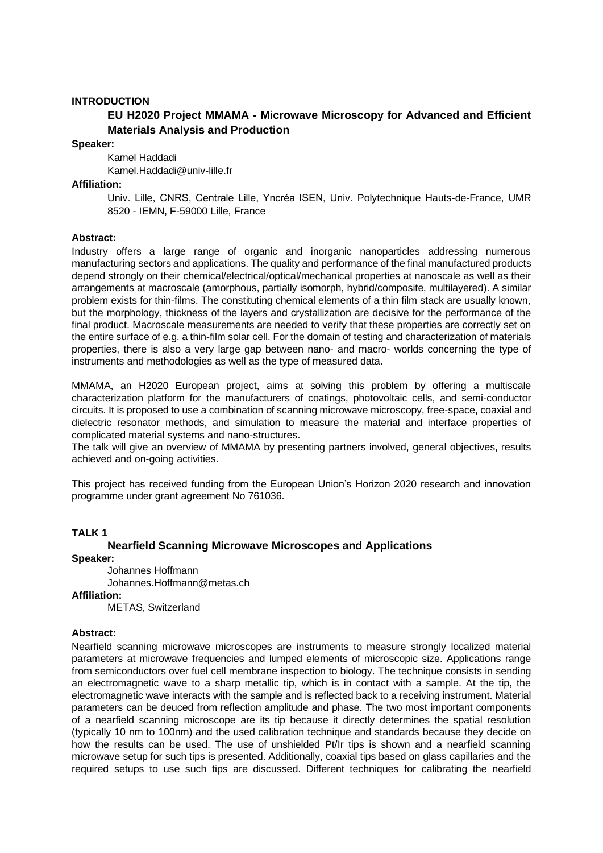# **INTRODUCTION**

# **EU H2020 Project MMAMA - Microwave Microscopy for Advanced and Efficient Materials Analysis and Production**

#### **Speaker:**

Kamel Haddadi

[Kamel.Haddadi@univ-lille.fr](mailto:Kamel.Haddadi@univ-lille.fr)

# **Affiliation:**

Univ. Lille, CNRS, Centrale Lille, Yncréa ISEN, Univ. Polytechnique Hauts-de-France, UMR 8520 - IEMN, F-59000 Lille, France

# **Abstract:**

Industry offers a large range of organic and inorganic nanoparticles addressing numerous manufacturing sectors and applications. The quality and performance of the final manufactured products depend strongly on their chemical/electrical/optical/mechanical properties at nanoscale as well as their arrangements at macroscale (amorphous, partially isomorph, hybrid/composite, multilayered). A similar problem exists for thin-films. The constituting chemical elements of a thin film stack are usually known, but the morphology, thickness of the layers and crystallization are decisive for the performance of the final product. Macroscale measurements are needed to verify that these properties are correctly set on the entire surface of e.g. a thin-film solar cell. For the domain of testing and characterization of materials properties, there is also a very large gap between nano- and macro- worlds concerning the type of instruments and methodologies as well as the type of measured data.

MMAMA, an H2020 European project, aims at solving this problem by offering a multiscale characterization platform for the manufacturers of coatings, photovoltaic cells, and semi-conductor circuits. It is proposed to use a combination of scanning microwave microscopy, free-space, coaxial and dielectric resonator methods, and simulation to measure the material and interface properties of complicated material systems and nano-structures.

The talk will give an overview of MMAMA by presenting partners involved, general objectives, results achieved and on-going activities.

This project has received funding from the European Union's Horizon 2020 research and innovation programme under grant agreement No 761036.

#### **TALK 1**

# **Nearfield Scanning Microwave Microscopes and Applications**

# **Speaker:**

Johannes Hoffmann Johannes.Hoffmann@metas.ch **Affiliation:** 

METAS, Switzerland

#### **Abstract:**

Nearfield scanning microwave microscopes are instruments to measure strongly localized material parameters at microwave frequencies and lumped elements of microscopic size. Applications range from semiconductors over fuel cell membrane inspection to biology. The technique consists in sending an electromagnetic wave to a sharp metallic tip, which is in contact with a sample. At the tip, the electromagnetic wave interacts with the sample and is reflected back to a receiving instrument. Material parameters can be deuced from reflection amplitude and phase. The two most important components of a nearfield scanning microscope are its tip because it directly determines the spatial resolution (typically 10 nm to 100nm) and the used calibration technique and standards because they decide on how the results can be used. The use of unshielded Pt/Ir tips is shown and a nearfield scanning microwave setup for such tips is presented. Additionally, coaxial tips based on glass capillaries and the required setups to use such tips are discussed. Different techniques for calibrating the nearfield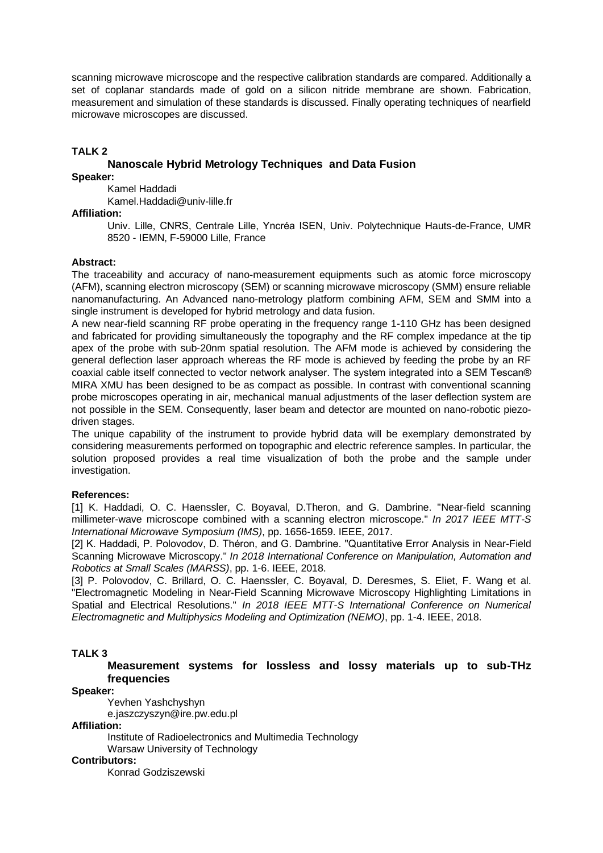scanning microwave microscope and the respective calibration standards are compared. Additionally a set of coplanar standards made of gold on a silicon nitride membrane are shown. Fabrication, measurement and simulation of these standards is discussed. Finally operating techniques of nearfield microwave microscopes are discussed.

# **TALK 2**

# **Nanoscale Hybrid Metrology Techniques and Data Fusion**

**Speaker:** 

Kamel Haddadi Kamel.Haddadi@univ-lille.fr

# **Affiliation:**

Univ. Lille, CNRS, Centrale Lille, Yncréa ISEN, Univ. Polytechnique Hauts-de-France, UMR 8520 - IEMN, F-59000 Lille, France

# **Abstract:**

The traceability and accuracy of nano-measurement equipments such as atomic force microscopy (AFM), scanning electron microscopy (SEM) or scanning microwave microscopy (SMM) ensure reliable nanomanufacturing. An Advanced nano-metrology platform combining AFM, SEM and SMM into a single instrument is developed for hybrid metrology and data fusion.

A new near-field scanning RF probe operating in the frequency range 1-110 GHz has been designed and fabricated for providing simultaneously the topography and the RF complex impedance at the tip apex of the probe with sub-20nm spatial resolution. The AFM mode is achieved by considering the general deflection laser approach whereas the RF mode is achieved by feeding the probe by an RF coaxial cable itself connected to vector network analyser. The system integrated into a SEM Tescan® MIRA XMU has been designed to be as compact as possible. In contrast with conventional scanning probe microscopes operating in air, mechanical manual adjustments of the laser deflection system are not possible in the SEM. Consequently, laser beam and detector are mounted on nano-robotic piezodriven stages.

The unique capability of the instrument to provide hybrid data will be exemplary demonstrated by considering measurements performed on topographic and electric reference samples. In particular, the solution proposed provides a real time visualization of both the probe and the sample under investigation.

# **References:**

[1] K. Haddadi, O. C. Haenssler, C. Boyaval, D. Theron, and G. Dambrine. "Near-field scanning millimeter-wave microscope combined with a scanning electron microscope." *In 2017 IEEE MTT-S International Microwave Symposium (IMS)*, pp. 1656-1659. IEEE, 2017.

[2] K. Haddadi, P. Polovodov, D. Théron, and G. Dambrine. "Quantitative Error Analysis in Near-Field Scanning Microwave Microscopy." *In 2018 International Conference on Manipulation, Automation and Robotics at Small Scales (MARSS)*, pp. 1-6. IEEE, 2018.

[3] P. Polovodov, C. Brillard, O. C. Haenssler, C. Boyaval, D. Deresmes, S. Eliet, F. Wang et al. "Electromagnetic Modeling in Near-Field Scanning Microwave Microscopy Highlighting Limitations in Spatial and Electrical Resolutions." *In 2018 IEEE MTT-S International Conference on Numerical Electromagnetic and Multiphysics Modeling and Optimization (NEMO)*, pp. 1-4. IEEE, 2018.

# **TALK 3**

**Measurement systems for lossless and lossy materials up to sub-THz frequencies** 

**Speaker:** 

Yevhen Yashchyshyn

e.jaszczyszyn@ire.pw.edu.pl

**Affiliation:** 

Institute of Radioelectronics and Multimedia Technology Warsaw University of Technology

**Contributors:**

Konrad Godziszewski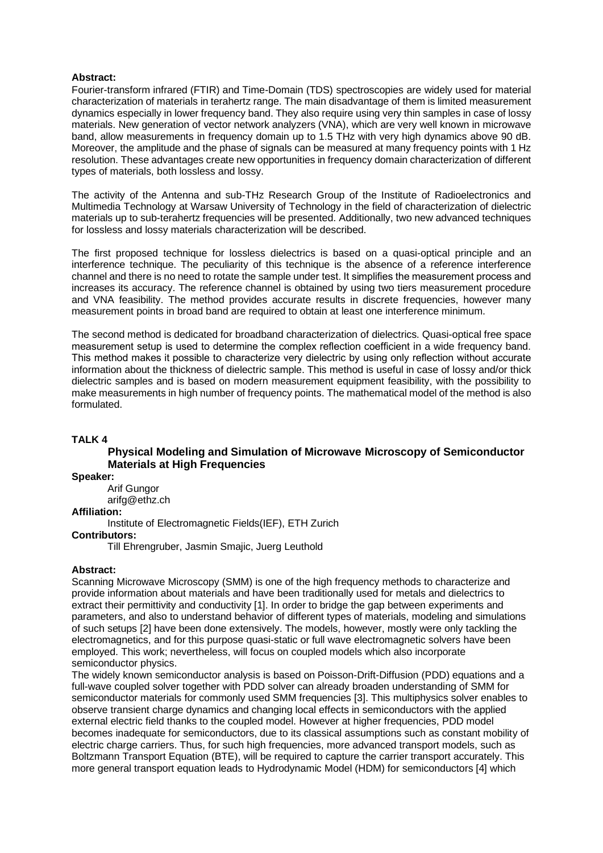# **Abstract:**

Fourier-transform infrared (FTIR) and Time-Domain (TDS) spectroscopies are widely used for material characterization of materials in terahertz range. The main disadvantage of them is limited measurement dynamics especially in lower frequency band. They also require using very thin samples in case of lossy materials. New generation of vector network analyzers (VNA), which are very well known in microwave band, allow measurements in frequency domain up to 1.5 THz with very high dynamics above 90 dB. Moreover, the amplitude and the phase of signals can be measured at many frequency points with 1 Hz resolution. These advantages create new opportunities in frequency domain characterization of different types of materials, both lossless and lossy.

The activity of the Antenna and sub-THz Research Group of the Institute of Radioelectronics and Multimedia Technology at Warsaw University of Technology in the field of characterization of dielectric materials up to sub-terahertz frequencies will be presented. Additionally, two new advanced techniques for lossless and lossy materials characterization will be described.

The first proposed technique for lossless dielectrics is based on a quasi-optical principle and an interference technique. The peculiarity of this technique is the absence of a reference interference channel and there is no need to rotate the sample under test. It simplifies the measurement process and increases its accuracy. The reference channel is obtained by using two tiers measurement procedure and VNA feasibility. The method provides accurate results in discrete frequencies, however many measurement points in broad band are required to obtain at least one interference minimum.

The second method is dedicated for broadband characterization of dielectrics. Quasi-optical free space measurement setup is used to determine the complex reflection coefficient in a wide frequency band. This method makes it possible to characterize very dielectric by using only reflection without accurate information about the thickness of dielectric sample. This method is useful in case of lossy and/or thick dielectric samples and is based on modern measurement equipment feasibility, with the possibility to make measurements in high number of frequency points. The mathematical model of the method is also formulated.

# **TALK 4**

# **Physical Modeling and Simulation of Microwave Microscopy of Semiconductor Materials at High Frequencies**

**Speaker:** 

Arif Gungor

arifg@ethz.ch

# **Affiliation:**

Institute of Electromagnetic Fields(IEF), ETH Zurich

# **Contributors:**

Till Ehrengruber, Jasmin Smajic, Juerg Leuthold

#### **Abstract:**

Scanning Microwave Microscopy (SMM) is one of the high frequency methods to characterize and provide information about materials and have been traditionally used for metals and dielectrics to extract their permittivity and conductivity [1]. In order to bridge the gap between experiments and parameters, and also to understand behavior of different types of materials, modeling and simulations of such setups [2] have been done extensively. The models, however, mostly were only tackling the electromagnetics, and for this purpose quasi-static or full wave electromagnetic solvers have been employed. This work; nevertheless, will focus on coupled models which also incorporate semiconductor physics.

The widely known semiconductor analysis is based on Poisson-Drift-Diffusion (PDD) equations and a full-wave coupled solver together with PDD solver can already broaden understanding of SMM for semiconductor materials for commonly used SMM frequencies [3]. This multiphysics solver enables to observe transient charge dynamics and changing local effects in semiconductors with the applied external electric field thanks to the coupled model. However at higher frequencies, PDD model becomes inadequate for semiconductors, due to its classical assumptions such as constant mobility of electric charge carriers. Thus, for such high frequencies, more advanced transport models, such as Boltzmann Transport Equation (BTE), will be required to capture the carrier transport accurately. This more general transport equation leads to Hydrodynamic Model (HDM) for semiconductors [4] which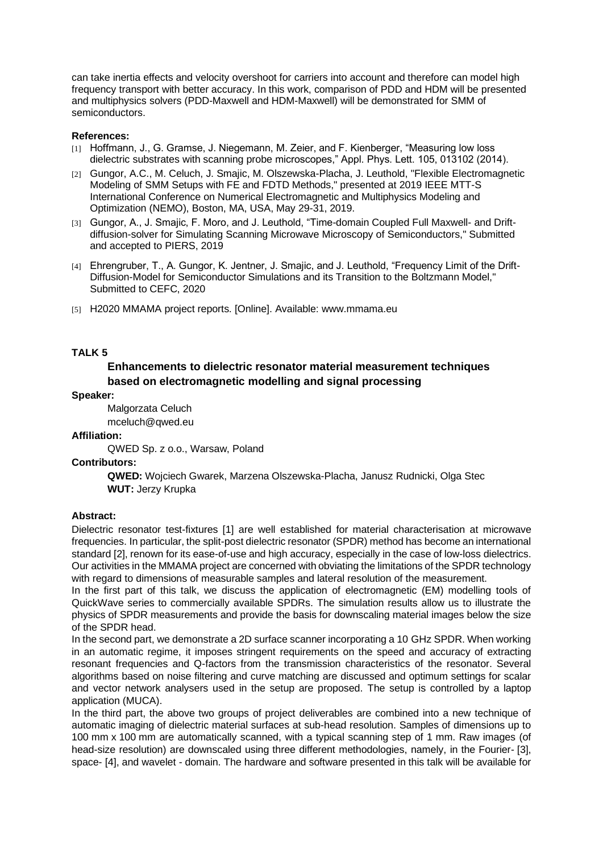can take inertia effects and velocity overshoot for carriers into account and therefore can model high frequency transport with better accuracy. In this work, comparison of PDD and HDM will be presented and multiphysics solvers (PDD-Maxwell and HDM-Maxwell) will be demonstrated for SMM of semiconductors.

# **References:**

- [1] Hoffmann, J., G. Gramse, J. Niegemann, M. Zeier, and F. Kienberger, "Measuring low loss dielectric substrates with scanning probe microscopes," Appl. Phys. Lett. 105, 013102 (2014).
- [2] Gungor, A.C., M. Celuch, J. Smajic, M. Olszewska-Placha, J. Leuthold, "Flexible Electromagnetic Modeling of SMM Setups with FE and FDTD Methods," presented at 2019 IEEE MTT-S International Conference on Numerical Electromagnetic and Multiphysics Modeling and Optimization (NEMO), Boston, MA, USA, May 29-31, 2019.
- [3] Gungor, A., J. Smajic, F. Moro, and J. Leuthold, "Time-domain Coupled Full Maxwell- and Driftdiffusion-solver for Simulating Scanning Microwave Microscopy of Semiconductors," Submitted and accepted to PIERS, 2019
- [4] Ehrengruber, T., A. Gungor, K. Jentner, J. Smajic, and J. Leuthold, "Frequency Limit of the Drift-Diffusion-Model for Semiconductor Simulations and its Transition to the Boltzmann Model," Submitted to CEFC, 2020
- [5] H2020 MMAMA project reports. [Online]. Available: www.mmama.eu

# **TALK 5**

# **Enhancements to dielectric resonator material measurement techniques based on electromagnetic modelling and signal processing**

#### **Speaker:**

Malgorzata Celuch mceluch@qwed.eu

#### **Affiliation:**

QWED Sp. z o.o., Warsaw, Poland

# **Contributors:**

 **QWED:** Wojciech Gwarek, Marzena Olszewska-Placha, Janusz Rudnicki, Olga Stec  **WUT:** Jerzy Krupka

# **Abstract:**

Dielectric resonator test-fixtures [1] are well established for material characterisation at microwave frequencies. In particular, the split-post dielectric resonator (SPDR) method has become an international standard [2], renown for its ease-of-use and high accuracy, especially in the case of low-loss dielectrics. Our activities in the MMAMA project are concerned with obviating the limitations of the SPDR technology with regard to dimensions of measurable samples and lateral resolution of the measurement.

In the first part of this talk, we discuss the application of electromagnetic (EM) modelling tools of QuickWave series to commercially available SPDRs. The simulation results allow us to illustrate the physics of SPDR measurements and provide the basis for downscaling material images below the size of the SPDR head.

In the second part, we demonstrate a 2D surface scanner incorporating a 10 GHz SPDR. When working in an automatic regime, it imposes stringent requirements on the speed and accuracy of extracting resonant frequencies and Q-factors from the transmission characteristics of the resonator. Several algorithms based on noise filtering and curve matching are discussed and optimum settings for scalar and vector network analysers used in the setup are proposed. The setup is controlled by a laptop application (MUCA).

In the third part, the above two groups of project deliverables are combined into a new technique of automatic imaging of dielectric material surfaces at sub-head resolution. Samples of dimensions up to 100 mm x 100 mm are automatically scanned, with a typical scanning step of 1 mm. Raw images (of head-size resolution) are downscaled using three different methodologies, namely, in the Fourier- [3], space- [4], and wavelet - domain. The hardware and software presented in this talk will be available for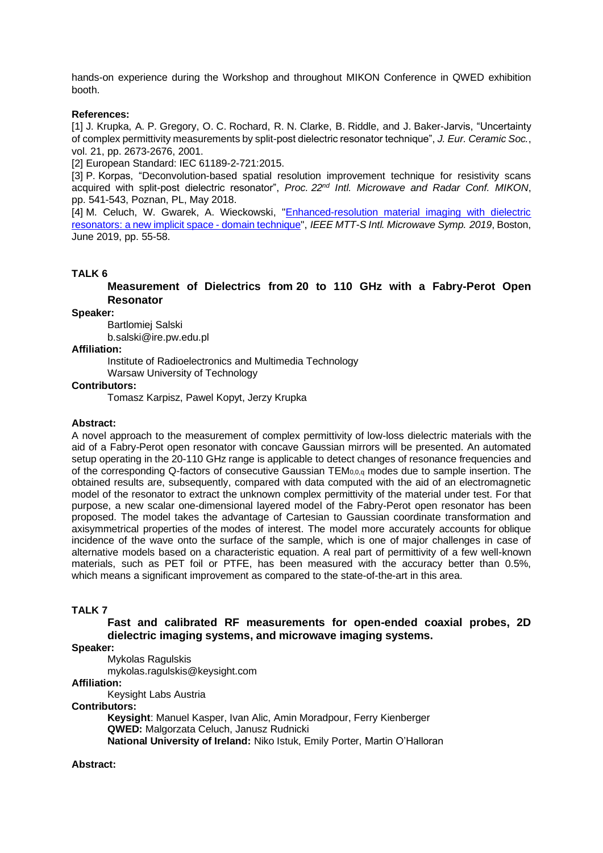hands-on experience during the Workshop and throughout MIKON Conference in QWED exhibition booth.

# **References:**

[1] J. Krupka, A. P. Gregory, O. C. Rochard, R. N. Clarke, B. Riddle, and J. Baker-Jarvis, "Uncertainty of complex permittivity measurements by split-post dielectric resonator technique", *J. Eur. Ceramic Soc.*, vol. 21, pp. 2673-2676, 2001.

[2] European Standard: IEC 61189-2-721:2015.

[3] P. Korpas, "Deconvolution-based spatial resolution improvement technique for resistivity scans acquired with split-post dielectric resonator", *Proc. 22nd Intl. Microwave and Radar Conf. MIKON*, pp. 541-543, Poznan, PL, May 2018.

[4] M. Celuch, W. Gwarek, A. Wieckowski, "Enhanced-resolution material imaging with dielectric [resonators: a new implicit space -](http://www.qwed.eu/publications/IMS_Boston2019_paper.pdf) domain technique", *IEEE MTT-S Intl. Microwave Symp. 2019*, Boston, June 2019, pp. 55-58.

# **TALK 6**

**Measurement of Dielectrics from 20 to 110 GHz with a Fabry-Perot Open Resonator**

#### **Speaker:**

Bartlomiej Salski

b.salski@ire.pw.edu.pl

**Affiliation:**

Institute of Radioelectronics and Multimedia Technology

Warsaw University of Technology

# **Contributors:**

Tomasz Karpisz, Pawel Kopyt, Jerzy Krupka

# **Abstract:**

A novel approach to the measurement of complex permittivity of low-loss dielectric materials with the aid of a Fabry-Perot open resonator with concave Gaussian mirrors will be presented. An automated setup operating in the 20-110 GHz range is applicable to detect changes of resonance frequencies and of the corresponding Q-factors of consecutive Gaussian TEM0,0,q modes due to sample insertion. The obtained results are, subsequently, compared with data computed with the aid of an electromagnetic model of the resonator to extract the unknown complex permittivity of the material under test. For that purpose, a new scalar one-dimensional layered model of the Fabry-Perot open resonator has been proposed. The model takes the advantage of Cartesian to Gaussian coordinate transformation and axisymmetrical properties of the modes of interest. The model more accurately accounts for oblique incidence of the wave onto the surface of the sample, which is one of major challenges in case of alternative models based on a characteristic equation. A real part of permittivity of a few well-known materials, such as PET foil or PTFE, has been measured with the accuracy better than 0.5%, which means a significant improvement as compared to the state-of-the-art in this area.

#### **TALK 7**

# **Fast and calibrated RF measurements for open-ended coaxial probes, 2D dielectric imaging systems, and microwave imaging systems.**

**Speaker:**

Mykolas Ragulskis

mykolas.ragulskis@keysight.com

# **Affiliation:**

Keysight Labs Austria

# **Contributors:**

**Keysight**: Manuel Kasper, Ivan Alic, Amin Moradpour, Ferry Kienberger **QWED:** Malgorzata Celuch, Janusz Rudnicki **National University of Ireland:** Niko Istuk, Emily Porter, Martin O'Halloran

# **Abstract:**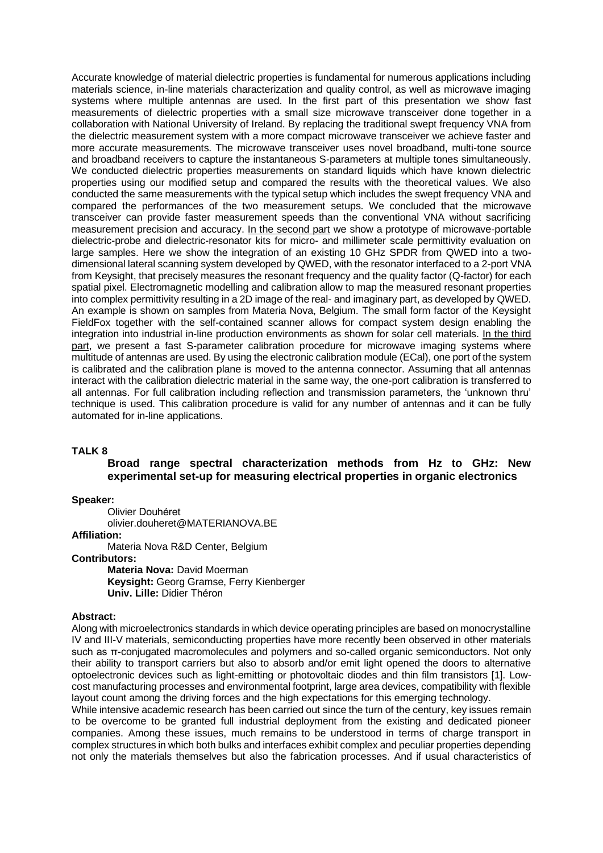Accurate knowledge of material dielectric properties is fundamental for numerous applications including materials science, in-line materials characterization and quality control, as well as microwave imaging systems where multiple antennas are used. In the first part of this presentation we show fast measurements of dielectric properties with a small size microwave transceiver done together in a collaboration with National University of Ireland. By replacing the traditional swept frequency VNA from the dielectric measurement system with a more compact microwave transceiver we achieve faster and more accurate measurements. The microwave transceiver uses novel broadband, multi-tone source and broadband receivers to capture the instantaneous S-parameters at multiple tones simultaneously. We conducted dielectric properties measurements on standard liquids which have known dielectric properties using our modified setup and compared the results with the theoretical values. We also conducted the same measurements with the typical setup which includes the swept frequency VNA and compared the performances of the two measurement setups. We concluded that the microwave transceiver can provide faster measurement speeds than the conventional VNA without sacrificing measurement precision and accuracy. In the second part we show a prototype of microwave-portable dielectric-probe and dielectric-resonator kits for micro- and millimeter scale permittivity evaluation on large samples. Here we show the integration of an existing 10 GHz SPDR from QWED into a twodimensional lateral scanning system developed by QWED, with the resonator interfaced to a 2-port VNA from Keysight, that precisely measures the resonant frequency and the quality factor (Q-factor) for each spatial pixel. Electromagnetic modelling and calibration allow to map the measured resonant properties into complex permittivity resulting in a 2D image of the real- and imaginary part, as developed by QWED. An example is shown on samples from Materia Nova, Belgium. The small form factor of the Keysight FieldFox together with the self-contained scanner allows for compact system design enabling the integration into industrial in-line production environments as shown for solar cell materials. In the third part, we present a fast S-parameter calibration procedure for microwave imaging systems where multitude of antennas are used. By using the electronic calibration module (ECal), one port of the system is calibrated and the calibration plane is moved to the antenna connector. Assuming that all antennas interact with the calibration dielectric material in the same way, the one-port calibration is transferred to all antennas. For full calibration including reflection and transmission parameters, the 'unknown thru' technique is used. This calibration procedure is valid for any number of antennas and it can be fully automated for in-line applications.

#### **TALK 8**

# **Broad range spectral characterization methods from Hz to GHz: New experimental set-up for measuring electrical properties in organic electronics**

**Speaker:**

Olivier Douhéret olivier.douheret@MATERIANOVA.BE

**Affiliation:** 

Materia Nova R&D Center, Belgium

**Contributors:**

**Materia Nova:** David Moerman **Keysight:** Georg Gramse, Ferry Kienberger **Univ. Lille:** Didier Théron

#### **Abstract:**

Along with microelectronics standards in which device operating principles are based on monocrystalline IV and III-V materials, semiconducting properties have more recently been observed in other materials such as π-conjugated macromolecules and polymers and so-called organic semiconductors. Not only their ability to transport carriers but also to absorb and/or emit light opened the doors to alternative optoelectronic devices such as light-emitting or photovoltaic diodes and thin film transistors [1]. Lowcost manufacturing processes and environmental footprint, large area devices, compatibility with flexible layout count among the driving forces and the high expectations for this emerging technology.

While intensive academic research has been carried out since the turn of the century, key issues remain to be overcome to be granted full industrial deployment from the existing and dedicated pioneer companies. Among these issues, much remains to be understood in terms of charge transport in complex structures in which both bulks and interfaces exhibit complex and peculiar properties depending not only the materials themselves but also the fabrication processes. And if usual characteristics of